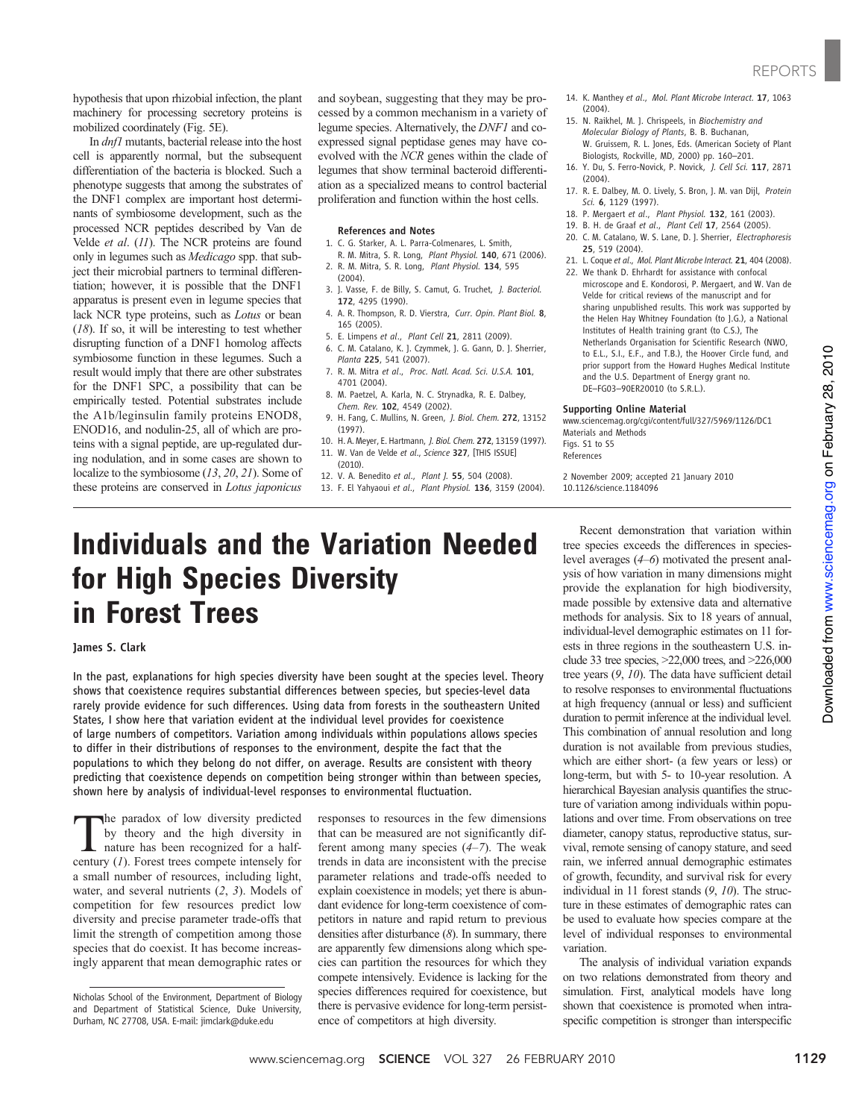www.sciencemag.org on February 28, 2010

Downloaded from www.sciencemag.org on February 28, 2010

Downloaded from

hypothesis that upon rhizobial infection, the plant machinery for processing secretory proteins is mobilized coordinately (Fig. 5E).

In dnf1 mutants, bacterial release into the host cell is apparently normal, but the subsequent differentiation of the bacteria is blocked. Such a phenotype suggests that among the substrates of the DNF1 complex are important host determinants of symbiosome development, such as the processed NCR peptides described by Van de Velde et al. (11). The NCR proteins are found only in legumes such as Medicago spp. that subject their microbial partners to terminal differentiation; however, it is possible that the DNF1 apparatus is present even in legume species that lack NCR type proteins, such as Lotus or bean  $(18)$ . If so, it will be interesting to test whether disrupting function of a DNF1 homolog affects symbiosome function in these legumes. Such a result would imply that there are other substrates for the DNF1 SPC, a possibility that can be empirically tested. Potential substrates include the A1b/leginsulin family proteins ENOD8, ENOD16, and nodulin-25, all of which are proteins with a signal peptide, are up-regulated during nodulation, and in some cases are shown to localize to the symbiosome (13, 20, 21). Some of these proteins are conserved in Lotus japonicus

and soybean, suggesting that they may be processed by a common mechanism in a variety of legume species. Alternatively, the DNF1 and coexpressed signal peptidase genes may have coevolved with the NCR genes within the clade of legumes that show terminal bacteroid differentiation as a specialized means to control bacterial proliferation and function within the host cells.

### References and Notes

- 1. C. G. Starker, A. L. Parra-Colmenares, L. Smith,
- R. M. Mitra, S. R. Long, Plant Physiol. 140, 671 (2006). 2. R. M. Mitra, S. R. Long, Plant Physiol. 134, 595
- (2004). 3. J. Vasse, F. de Billy, S. Camut, G. Truchet, J. Bacteriol. 172, 4295 (1990).
- 4. A. R. Thompson, R. D. Vierstra, Curr. Opin. Plant Biol. 8, 165 (2005).
- 5. E. Limpens et al., Plant Cell 21, 2811 (2009).
- 6. C. M. Catalano, K. J. Czymmek, J. G. Gann, D. J. Sherrier, Planta 225, 541 (2007).
- 7. R. M. Mitra et al., Proc. Natl. Acad. Sci. U.S.A. 101, 4701 (2004).
- 8. M. Paetzel, A. Karla, N. C. Strynadka, R. E. Dalbey, Chem. Rev. 102, 4549 (2002).
- 9. H. Fang, C. Mullins, N. Green, J. Biol. Chem. 272, 13152 (1997).
- 10. H. A. Meyer, E. Hartmann, J. Biol. Chem. 272, 13159 (1997).
- 11. W. Van de Velde et al., Science 327, [THIS ISSUE]
- (2010).
- 12. V. A. Benedito et al., Plant J. 55, 504 (2008).
- 13. F. El Yahyaoui et al., Plant Physiol. 136, 3159 (2004).

# Individuals and the Variation Needed for High Species Diversity in Forest Trees

## James S. Clark

In the past, explanations for high species diversity have been sought at the species level. Theory shows that coexistence requires substantial differences between species, but species-level data rarely provide evidence for such differences. Using data from forests in the southeastern United States, I show here that variation evident at the individual level provides for coexistence of large numbers of competitors. Variation among individuals within populations allows species to differ in their distributions of responses to the environment, despite the fact that the populations to which they belong do not differ, on average. Results are consistent with theory predicting that coexistence depends on competition being stronger within than between species, shown here by analysis of individual-level responses to environmental fluctuation.

 $\prod_{\text{other}}$  he paradox of low diversity predicted<br>by theory and the high diversity in<br>nature has been recognized for a half-<br>contune (1) Expect transfer that by theory and the high diversity in century (1). Forest trees compete intensely for a small number of resources, including light, water, and several nutrients (2, 3). Models of competition for few resources predict low diversity and precise parameter trade-offs that limit the strength of competition among those species that do coexist. It has become increasingly apparent that mean demographic rates or

responses to resources in the few dimensions that can be measured are not significantly different among many species  $(4-7)$ . The weak trends in data are inconsistent with the precise parameter relations and trade-offs needed to explain coexistence in models; yet there is abundant evidence for long-term coexistence of competitors in nature and rapid return to previous densities after disturbance (8). In summary, there are apparently few dimensions along which species can partition the resources for which they compete intensively. Evidence is lacking for the species differences required for coexistence, but there is pervasive evidence for long-term persistence of competitors at high diversity.

- 14. K. Manthey et al., Mol. Plant Microbe Interact. 17, 1063  $(2004)$
- 15. N. Raikhel, M. J. Chrispeels, in Biochemistry and Molecular Biology of Plants, B. B. Buchanan, W. Gruissem, R. L. Jones, Eds. (American Society of Plant Biologists, Rockville, MD, 2000) pp. 160–201.
- 16. Y. Du, S. Ferro-Novick, P. Novick, J. Cell Sci. 117, 2871 (2004).
- 17. R. E. Dalbey, M. O. Lively, S. Bron, J. M. van Dijl, Protein Sci. 6, 1129 (1997).
- 18. P. Mergaert et al., Plant Physiol. 132, 161 (2003).
- 19. B. H. de Graaf et al., Plant Cell 17, 2564 (2005).
- 20. C. M. Catalano, W. S. Lane, D. J. Sherrier, Electrophoresis 25, 519 (2004).
- 21. L. Coque et al., Mol. Plant Microbe Interact. 21, 404 (2008).
- 22. We thank D. Ehrhardt for assistance with confocal microscope and E. Kondorosi, P. Mergaert, and W. Van de Velde for critical reviews of the manuscript and for sharing unpublished results. This work was supported by the Helen Hay Whitney Foundation (to J.G.), a National Institutes of Health training grant (to C.S.), The Netherlands Organisation for Scientific Research (NWO, to E.L., S.I., E.F., and T.B.), the Hoover Circle fund, and prior support from the Howard Hughes Medical Institute and the U.S. Department of Energy grant no. DE–FG03–90ER20010 (to S.R.L.).

### Supporting Online Material

www.sciencemag.org/cgi/content/full/327/5969/1126/DC1 Materials and Methods Figs. S1 to S5 References

2 November 2009; accepted 21 January 2010 10.1126/science.1184096

Recent demonstration that variation within tree species exceeds the differences in specieslevel averages (4–6) motivated the present analysis of how variation in many dimensions might provide the explanation for high biodiversity, made possible by extensive data and alternative methods for analysis. Six to 18 years of annual, individual-level demographic estimates on 11 forests in three regions in the southeastern U.S. include 33 tree species, >22,000 trees, and >226,000 tree years (9, 10). The data have sufficient detail to resolve responses to environmental fluctuations at high frequency (annual or less) and sufficient duration to permit inference at the individual level. This combination of annual resolution and long duration is not available from previous studies, which are either short- (a few years or less) or long-term, but with 5- to 10-year resolution. A hierarchical Bayesian analysis quantifies the structure of variation among individuals within populations and over time. From observations on tree diameter, canopy status, reproductive status, survival, remote sensing of canopy stature, and seed rain, we inferred annual demographic estimates of growth, fecundity, and survival risk for every individual in 11 forest stands (9, 10). The structure in these estimates of demographic rates can be used to evaluate how species compare at the level of individual responses to environmental variation.

The analysis of individual variation expands on two relations demonstrated from theory and simulation. First, analytical models have long shown that coexistence is promoted when intraspecific competition is stronger than interspecific

Nicholas School of the Environment, Department of Biology and Department of Statistical Science, Duke University, Durham, NC 27708, USA. E-mail: jimclark@duke.edu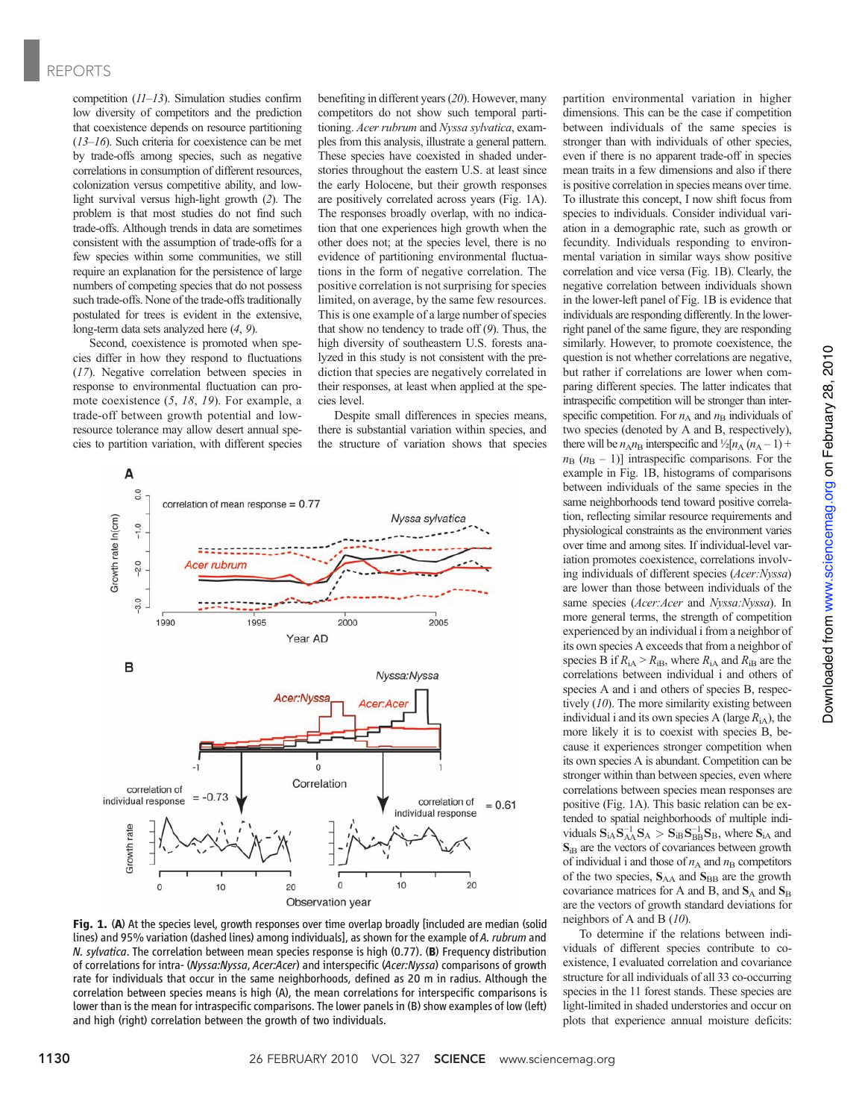# REPORTS

competition (11–13). Simulation studies confirm low diversity of competitors and the prediction that coexistence depends on resource partitioning (13–16). Such criteria for coexistence can be met by trade-offs among species, such as negative correlations in consumption of different resources, colonization versus competitive ability, and lowlight survival versus high-light growth (2). The problem is that most studies do not find such trade-offs. Although trends in data are sometimes consistent with the assumption of trade-offs for a few species within some communities, we still require an explanation for the persistence of large numbers of competing species that do not possess such trade-offs. None of the trade-offs traditionally postulated for trees is evident in the extensive, long-term data sets analyzed here (4, 9).

Second, coexistence is promoted when species differ in how they respond to fluctuations (17). Negative correlation between species in response to environmental fluctuation can promote coexistence (5, 18, 19). For example, a trade-off between growth potential and lowresource tolerance may allow desert annual species to partition variation, with different species benefiting in different years (20). However, many competitors do not show such temporal partitioning. Acer rubrum and Nyssa sylvatica, examples from this analysis, illustrate a general pattern. These species have coexisted in shaded understories throughout the eastern U.S. at least since the early Holocene, but their growth responses are positively correlated across years (Fig. 1A). The responses broadly overlap, with no indication that one experiences high growth when the other does not; at the species level, there is no evidence of partitioning environmental fluctuations in the form of negative correlation. The positive correlation is not surprising for species limited, on average, by the same few resources. This is one example of a large number of species that show no tendency to trade off (9). Thus, the high diversity of southeastern U.S. forests analyzed in this study is not consistent with the prediction that species are negatively correlated in their responses, at least when applied at the species level.

Despite small differences in species means, there is substantial variation within species, and the structure of variation shows that species



Fig. 1. (A) At the species level, growth responses over time overlap broadly [included are median (solid lines) and 95% variation (dashed lines) among individuals], as shown for the example of A. rubrum and N. sylvatica. The correlation between mean species response is high (0.77). (B) Frequency distribution of correlations for intra- (Nyssa:Nyssa, Acer:Acer) and interspecific (Acer:Nyssa) comparisons of growth rate for individuals that occur in the same neighborhoods, defined as 20 m in radius. Although the correlation between species means is high (A), the mean correlations for interspecific comparisons is lower than is the mean for intraspecific comparisons. The lower panels in (B) show examples of low (left) and high (right) correlation between the growth of two individuals.

partition environmental variation in higher dimensions. This can be the case if competition between individuals of the same species is stronger than with individuals of other species, even if there is no apparent trade-off in species mean traits in a few dimensions and also if there is positive correlation in species means over time. To illustrate this concept, I now shift focus from species to individuals. Consider individual variation in a demographic rate, such as growth or fecundity. Individuals responding to environmental variation in similar ways show positive correlation and vice versa (Fig. 1B). Clearly, the negative correlation between individuals shown in the lower-left panel of Fig. 1B is evidence that individuals are responding differently. In the lowerright panel of the same figure, they are responding similarly. However, to promote coexistence, the question is not whether correlations are negative, but rather if correlations are lower when comparing different species. The latter indicates that intraspecific competition will be stronger than interspecific competition. For  $n_A$  and  $n_B$  individuals of two species (denoted by A and B, respectively), there will be  $n_A n_B$  interspecific and  $\frac{1}{2}[n_A (n_A - 1) +$  $n_{\rm B}$  ( $n_{\rm B}$  – 1)] intraspecific comparisons. For the example in Fig. 1B, histograms of comparisons between individuals of the same species in the same neighborhoods tend toward positive correlation, reflecting similar resource requirements and physiological constraints as the environment varies over time and among sites. If individual-level variation promotes coexistence, correlations involving individuals of different species (Acer:Nyssa) are lower than those between individuals of the same species (Acer:Acer and Nyssa:Nyssa). In more general terms, the strength of competition experienced by an individual i from a neighbor of its own species A exceeds that from a neighbor of species B if  $R_{iA} > R_{iB}$ , where  $R_{iA}$  and  $R_{iB}$  are the correlations between individual i and others of species A and i and others of species B, respectively (10). The more similarity existing between individual i and its own species A (large  $R_{\rm iA}$ ), the more likely it is to coexist with species B, because it experiences stronger competition when its own species A is abundant. Competition can be stronger within than between species, even where correlations between species mean responses are positive (Fig. 1A). This basic relation can be extended to spatial neighborhoods of multiple individuals  $S_{iA}S_{AA}^{-1}S_A > S_{iB}S_{BB}^{-1}S_B$ , where  $S_{iA}$  and S<sub>iB</sub> are the vectors of covariances between growth of individual i and those of  $n_A$  and  $n_B$  competitors of the two species,  $S_{AA}$  and  $S_{BB}$  are the growth covariance matrices for A and B, and  $S_A$  and  $S_B$ are the vectors of growth standard deviations for neighbors of A and B (10).

To determine if the relations between individuals of different species contribute to coexistence, I evaluated correlation and covariance structure for all individuals of all 33 co-occurring species in the 11 forest stands. These species are light-limited in shaded understories and occur on plots that experience annual moisture deficits: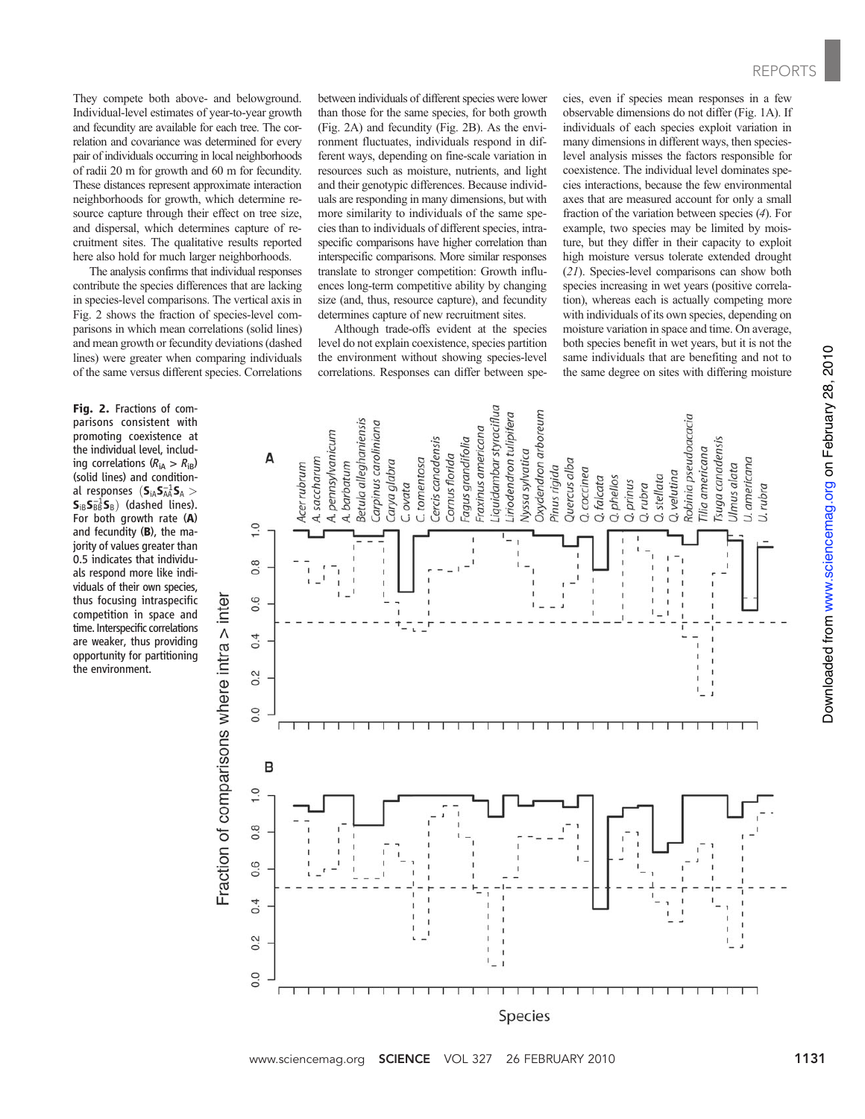They compete both above- and belowground. Individual-level estimates of year-to-year growth and fecundity are available for each tree. The correlation and covariance was determined for every pair of individuals occurring in local neighborhoods of radii 20 m for growth and 60 m for fecundity. These distances represent approximate interaction neighborhoods for growth, which determine resource capture through their effect on tree size, and dispersal, which determines capture of recruitment sites. The qualitative results reported here also hold for much larger neighborhoods.

The analysis confirms that individual responses contribute the species differences that are lacking in species-level comparisons. The vertical axis in Fig. 2 shows the fraction of species-level comparisons in which mean correlations (solid lines) and mean growth or fecundity deviations (dashed lines) were greater when comparing individuals of the same versus different species. Correlations

Fig. 2. Fractions of comparisons consistent with promoting coexistence at the individual level, including correlations ( $R_{iA} > R_{iB}$ ) (solid lines) and conditional responses  $(S_{iA}S_{AA}^{-1}S_{A} >$  $\mathbf{S}_{iB}\mathbf{S}_{B}^{-1}\mathbf{S}_{B}$ ) (dashed lines). For both growth rate (A) and fecundity (B), the majority of values greater than 0.5 indicates that individuals respond more like individuals of their own species, thus focusing intraspecific competition in space and time. Interspecific correlations are weaker, thus providing opportunity for partitioning the environment.

between individuals of different species were lower than those for the same species, for both growth (Fig. 2A) and fecundity (Fig. 2B). As the environment fluctuates, individuals respond in different ways, depending on fine-scale variation in resources such as moisture, nutrients, and light and their genotypic differences. Because individuals are responding in many dimensions, but with more similarity to individuals of the same species than to individuals of different species, intraspecific comparisons have higher correlation than interspecific comparisons. More similar responses translate to stronger competition: Growth influences long-term competitive ability by changing size (and, thus, resource capture), and fecundity determines capture of new recruitment sites.

Although trade-offs evident at the species level do not explain coexistence, species partition the environment without showing species-level correlations. Responses can differ between species, even if species mean responses in a few observable dimensions do not differ (Fig. 1A). If individuals of each species exploit variation in many dimensions in different ways, then specieslevel analysis misses the factors responsible for coexistence. The individual level dominates species interactions, because the few environmental axes that are measured account for only a small fraction of the variation between species (4). For example, two species may be limited by moisture, but they differ in their capacity to exploit high moisture versus tolerate extended drought (21). Species-level comparisons can show both species increasing in wet years (positive correlation), whereas each is actually competing more with individuals of its own species, depending on moisture variation in space and time. On average, both species benefit in wet years, but it is not the same individuals that are benefiting and not to the same degree on sites with differing moisture